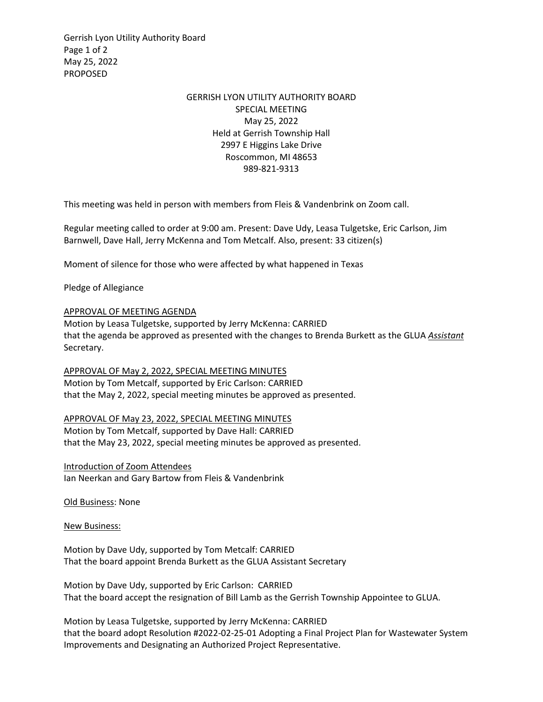Gerrish Lyon Utility Authority Board Page 1 of 2 May 25, 2022 PROPOSED

## GERRISH LYON UTILITY AUTHORITY BOARD SPECIAL MEETING May 25, 2022 Held at Gerrish Township Hall 2997 E Higgins Lake Drive Roscommon, MI 48653 989-821-9313

This meeting was held in person with members from Fleis & Vandenbrink on Zoom call.

Regular meeting called to order at 9:00 am. Present: Dave Udy, Leasa Tulgetske, Eric Carlson, Jim Barnwell, Dave Hall, Jerry McKenna and Tom Metcalf. Also, present: 33 citizen(s)

Moment of silence for those who were affected by what happened in Texas

Pledge of Allegiance

## APPROVAL OF MEETING AGENDA

Motion by Leasa Tulgetske, supported by Jerry McKenna: CARRIED that the agenda be approved as presented with the changes to Brenda Burkett as the GLUA *Assistant* Secretary.

APPROVAL OF May 2, 2022, SPECIAL MEETING MINUTES Motion by Tom Metcalf, supported by Eric Carlson: CARRIED that the May 2, 2022, special meeting minutes be approved as presented.

APPROVAL OF May 23, 2022, SPECIAL MEETING MINUTES Motion by Tom Metcalf, supported by Dave Hall: CARRIED that the May 23, 2022, special meeting minutes be approved as presented.

Introduction of Zoom Attendees Ian Neerkan and Gary Bartow from Fleis & Vandenbrink

Old Business: None

New Business:

Motion by Dave Udy, supported by Tom Metcalf: CARRIED That the board appoint Brenda Burkett as the GLUA Assistant Secretary

Motion by Dave Udy, supported by Eric Carlson: CARRIED That the board accept the resignation of Bill Lamb as the Gerrish Township Appointee to GLUA.

Motion by Leasa Tulgetske, supported by Jerry McKenna: CARRIED that the board adopt Resolution #2022-02-25-01 Adopting a Final Project Plan for Wastewater System Improvements and Designating an Authorized Project Representative.